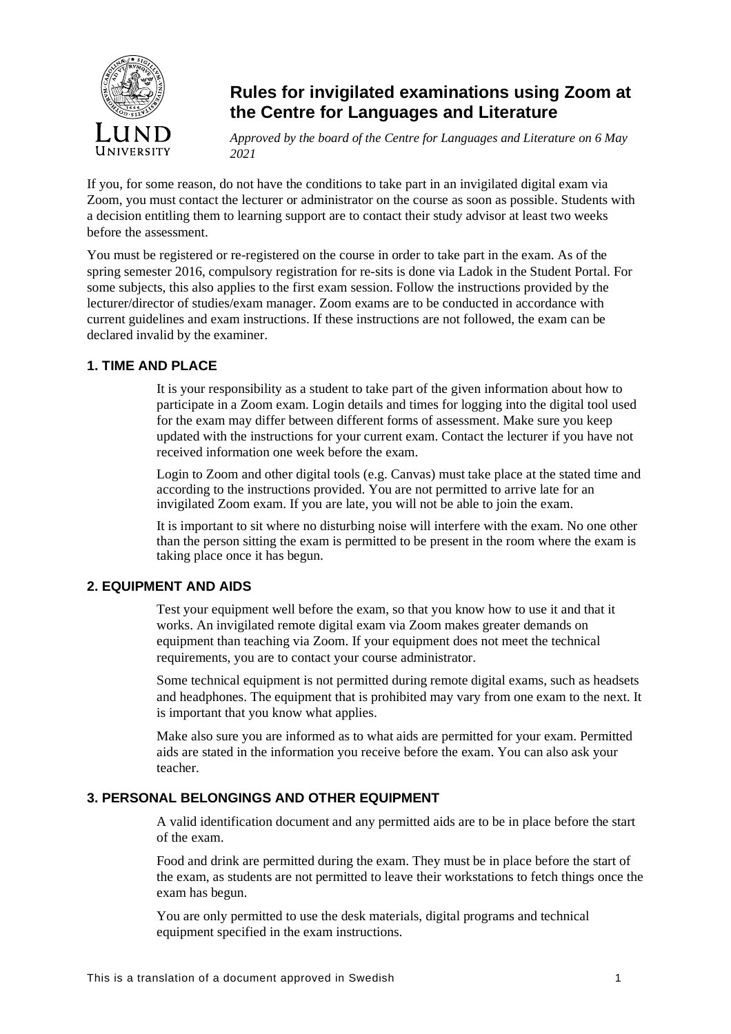

# **Rules for invigilated examinations using Zoom at the Centre for Languages and Literature**

*Approved by the board of the Centre for Languages and Literature on 6 May 2021*

If you, for some reason, do not have the conditions to take part in an invigilated digital exam via Zoom, you must contact the lecturer or administrator on the course as soon as possible. Students with a decision entitling them to learning support are to contact their study advisor at least two weeks before the assessment.

You must be registered or re-registered on the course in order to take part in the exam. As of the spring semester 2016, compulsory registration for re-sits is done via Ladok in the Student Portal. For some subjects, this also applies to the first exam session. Follow the instructions provided by the lecturer/director of studies/exam manager. Zoom exams are to be conducted in accordance with current guidelines and exam instructions. If these instructions are not followed, the exam can be declared invalid by the examiner.

# **1. TIME AND PLACE**

It is your responsibility as a student to take part of the given information about how to participate in a Zoom exam. Login details and times for logging into the digital tool used for the exam may differ between different forms of assessment. Make sure you keep updated with the instructions for your current exam. Contact the lecturer if you have not received information one week before the exam.

Login to Zoom and other digital tools (e.g. Canvas) must take place at the stated time and according to the instructions provided. You are not permitted to arrive late for an invigilated Zoom exam. If you are late, you will not be able to join the exam.

It is important to sit where no disturbing noise will interfere with the exam. No one other than the person sitting the exam is permitted to be present in the room where the exam is taking place once it has begun.

# **2. EQUIPMENT AND AIDS**

Test your equipment well before the exam, so that you know how to use it and that it works. An invigilated remote digital exam via Zoom makes greater demands on equipment than teaching via Zoom. If your equipment does not meet the technical requirements, you are to contact your course administrator.

Some technical equipment is not permitted during remote digital exams, such as headsets and headphones. The equipment that is prohibited may vary from one exam to the next. It is important that you know what applies.

Make also sure you are informed as to what aids are permitted for your exam. Permitted aids are stated in the information you receive before the exam. You can also ask your teacher.

# **3. PERSONAL BELONGINGS AND OTHER EQUIPMENT**

A valid identification document and any permitted aids are to be in place before the start of the exam.

Food and drink are permitted during the exam. They must be in place before the start of the exam, as students are not permitted to leave their workstations to fetch things once the exam has begun.

You are only permitted to use the desk materials, digital programs and technical equipment specified in the exam instructions.